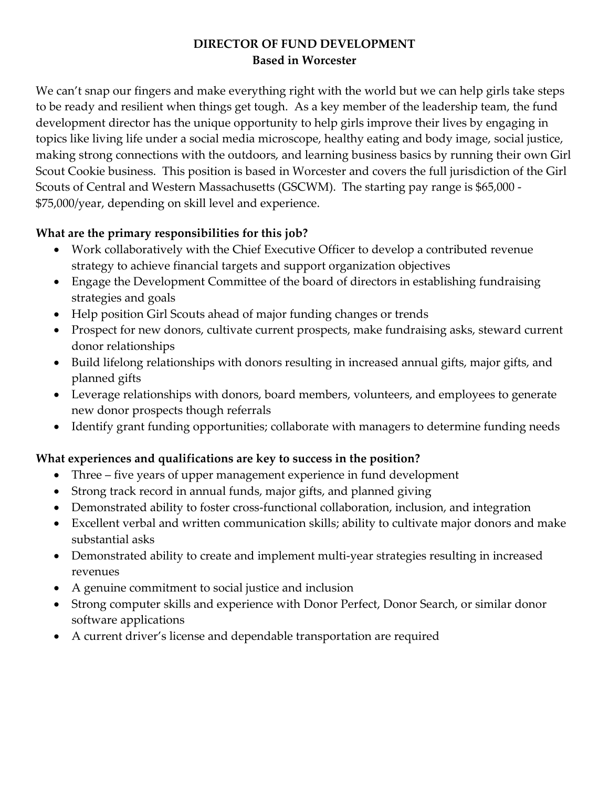### **DIRECTOR OF FUND DEVELOPMENT Based in Worcester**

We can't snap our fingers and make everything right with the world but we can help girls take steps to be ready and resilient when things get tough. As a key member of the leadership team, the fund development director has the unique opportunity to help girls improve their lives by engaging in topics like living life under a social media microscope, healthy eating and body image, social justice, making strong connections with the outdoors, and learning business basics by running their own Girl Scout Cookie business. This position is based in Worcester and covers the full jurisdiction of the Girl Scouts of Central and Western Massachusetts (GSCWM). The starting pay range is \$65,000 - \$75,000/year, depending on skill level and experience.

## **What are the primary responsibilities for this job?**

- Work collaboratively with the Chief Executive Officer to develop a contributed revenue strategy to achieve financial targets and support organization objectives
- Engage the Development Committee of the board of directors in establishing fundraising strategies and goals
- Help position Girl Scouts ahead of major funding changes or trends
- Prospect for new donors, cultivate current prospects, make fundraising asks, steward current donor relationships
- Build lifelong relationships with donors resulting in increased annual gifts, major gifts, and planned gifts
- Leverage relationships with donors, board members, volunteers, and employees to generate new donor prospects though referrals
- Identify grant funding opportunities; collaborate with managers to determine funding needs

# **What experiences and qualifications are key to success in the position?**

- Three five years of upper management experience in fund development
- Strong track record in annual funds, major gifts, and planned giving
- Demonstrated ability to foster cross-functional collaboration, inclusion, and integration
- Excellent verbal and written communication skills; ability to cultivate major donors and make substantial asks
- Demonstrated ability to create and implement multi-year strategies resulting in increased revenues
- A genuine commitment to social justice and inclusion
- Strong computer skills and experience with Donor Perfect, Donor Search, or similar donor software applications
- A current driver's license and dependable transportation are required